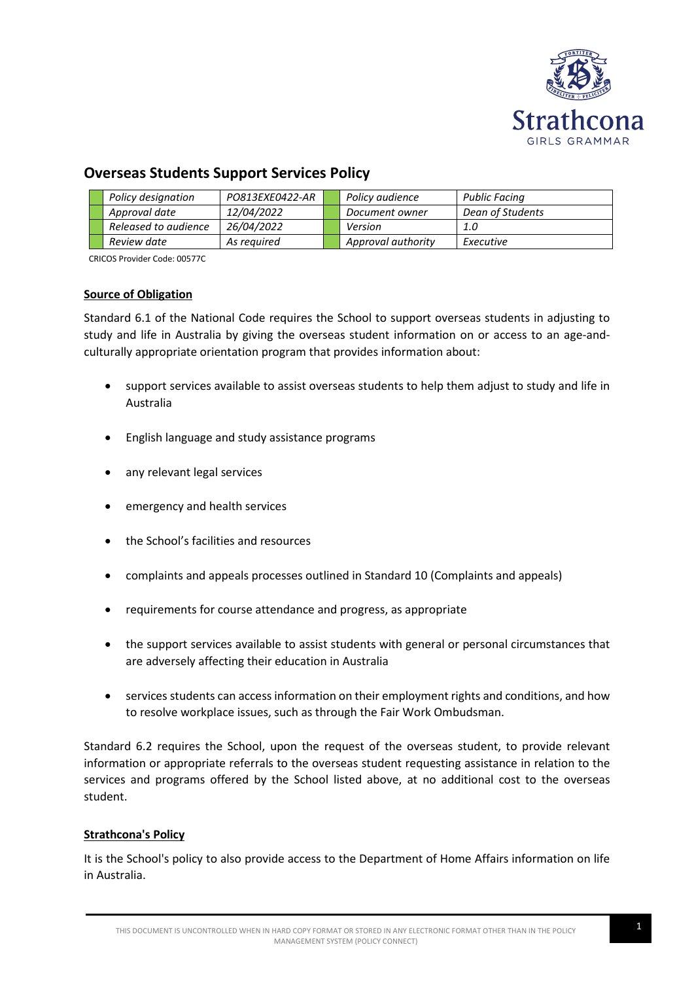

# **Overseas Students Support Services Policy**

| Policy designation   | PO813EXE0422-AR | Policy audience    | Public Facing    |
|----------------------|-----------------|--------------------|------------------|
| Approval date        | 12/04/2022      | Document owner     | Dean of Students |
| Released to audience | 26/04/2022      | Version            | 1.0              |
| Review date          | As reauired     | Approval authority | Executive        |

CRICOS Provider Code: 00577C

## **Source of Obligation**

Standard 6.1 of the National Code requires the School to support overseas students in adjusting to study and life in Australia by giving the overseas student information on or access to an age-andculturally appropriate orientation program that provides information about:

- support services available to assist overseas students to help them adjust to study and life in Australia
- English language and study assistance programs
- any relevant legal services
- emergency and health services
- the School's facilities and resources
- complaints and appeals processes outlined in Standard 10 (Complaints and appeals)
- requirements for course attendance and progress, as appropriate
- the support services available to assist students with general or personal circumstances that are adversely affecting their education in Australia
- services students can access information on their employment rights and conditions, and how to resolve workplace issues, such as through the Fair Work Ombudsman.

Standard 6.2 requires the School, upon the request of the overseas student, to provide relevant information or appropriate referrals to the overseas student requesting assistance in relation to the services and programs offered by the School listed above, at no additional cost to the overseas student.

## **Strathcona's Policy**

It is the School's policy to also provide access to the Department of Home Affairs information on life in Australia.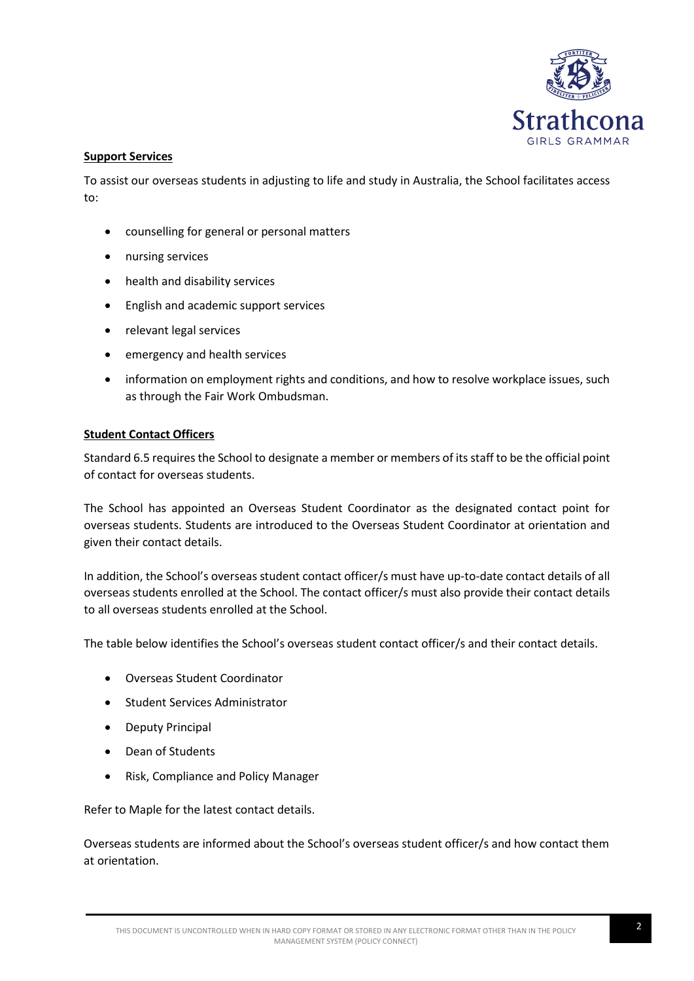

## **Support Services**

To assist our overseas students in adjusting to life and study in Australia, the School facilitates access to:

- counselling for general or personal matters
- nursing services
- health and disability services
- English and academic support services
- relevant legal services
- emergency and health services
- information on employment rights and conditions, and how to resolve workplace issues, such as through the Fair Work Ombudsman.

## **Student Contact Officers**

Standard 6.5 requires the School to designate a member or members of its staff to be the official point of contact for overseas students.

The School has appointed an Overseas Student Coordinator as the designated contact point for overseas students. Students are introduced to the Overseas Student Coordinator at orientation and given their contact details.

In addition, the School's overseas student contact officer/s must have up-to-date contact details of all overseas students enrolled at the School. The contact officer/s must also provide their contact details to all overseas students enrolled at the School.

The table below identifies the School's overseas student contact officer/s and their contact details.

- Overseas Student Coordinator
- Student Services Administrator
- Deputy Principal
- Dean of Students
- Risk, Compliance and Policy Manager

Refer to Maple for the latest contact details.

Overseas students are informed about the School's overseas student officer/s and how contact them at orientation.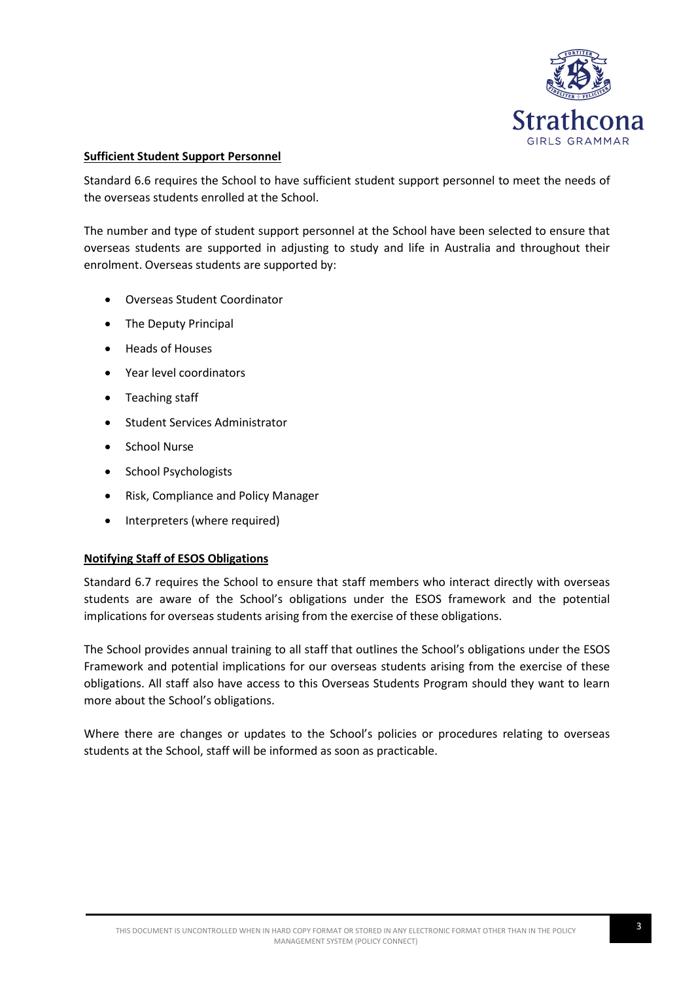

## **Sufficient Student Support Personnel**

Standard 6.6 requires the School to have sufficient student support personnel to meet the needs of the overseas students enrolled at the School.

The number and type of student support personnel at the School have been selected to ensure that overseas students are supported in adjusting to study and life in Australia and throughout their enrolment. Overseas students are supported by:

- Overseas Student Coordinator
- The Deputy Principal
- Heads of Houses
- Year level coordinators
- Teaching staff
- Student Services Administrator
- School Nurse
- School Psychologists
- Risk, Compliance and Policy Manager
- Interpreters (where required)

### **Notifying Staff of ESOS Obligations**

Standard 6.7 requires the School to ensure that staff members who interact directly with overseas students are aware of the School's obligations under the ESOS framework and the potential implications for overseas students arising from the exercise of these obligations.

The School provides annual training to all staff that outlines the School's obligations under the ESOS Framework and potential implications for our overseas students arising from the exercise of these obligations. All staff also have access to this Overseas Students Program should they want to learn more about the School's obligations.

Where there are changes or updates to the School's policies or procedures relating to overseas students at the School, staff will be informed as soon as practicable.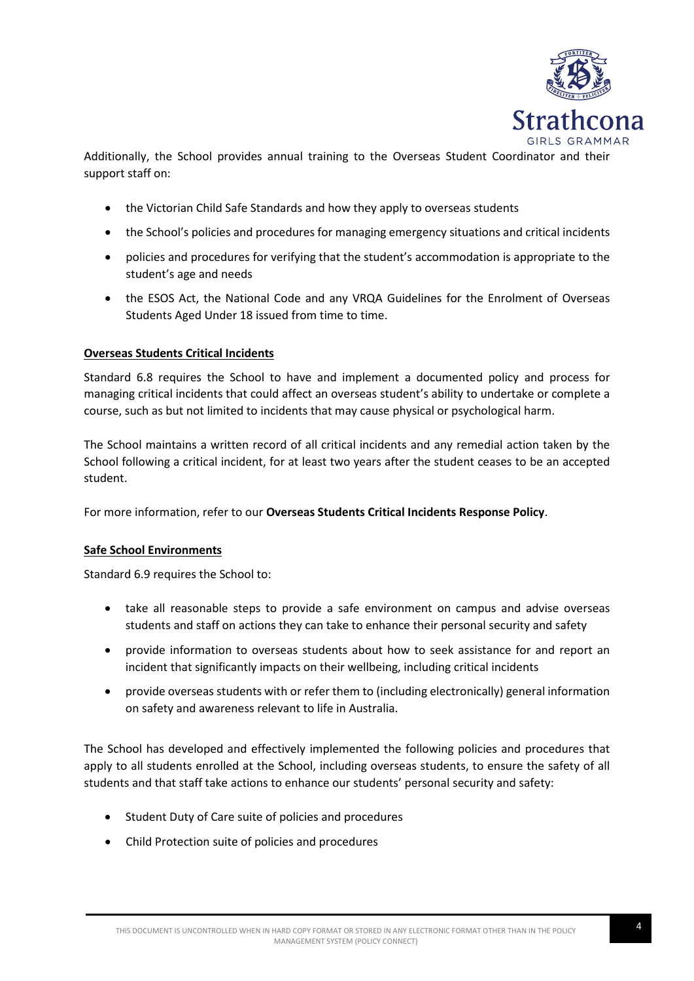

Additionally, the School provides annual training to the Overseas Student Coordinator and their support staff on:

- the Victorian Child Safe Standards and how they apply to overseas students
- the School's policies and procedures for managing emergency situations and critical incidents
- policies and procedures for verifying that the student's accommodation is appropriate to the student's age and needs
- the ESOS Act, the National Code and any VRQA Guidelines for the Enrolment of Overseas Students Aged Under 18 issued from time to time.

## **Overseas Students Critical Incidents**

Standard 6.8 requires the School to have and implement a documented policy and process for managing critical incidents that could affect an overseas student's ability to undertake or complete a course, such as but not limited to incidents that may cause physical or psychological harm.

The School maintains a written record of all critical incidents and any remedial action taken by the School following a critical incident, for at least two years after the student ceases to be an accepted student.

For more information, refer to our **Overseas Students Critical Incidents Response Policy**.

## **Safe School Environments**

Standard 6.9 requires the School to:

- take all reasonable steps to provide a safe environment on campus and advise overseas students and staff on actions they can take to enhance their personal security and safety
- provide information to overseas students about how to seek assistance for and report an incident that significantly impacts on their wellbeing, including critical incidents
- provide overseas students with or refer them to (including electronically) general information on safety and awareness relevant to life in Australia.

The School has developed and effectively implemented the following policies and procedures that apply to all students enrolled at the School, including overseas students, to ensure the safety of all students and that staff take actions to enhance our students' personal security and safety:

- Student Duty of Care suite of policies and procedures
- Child Protection suite of policies and procedures